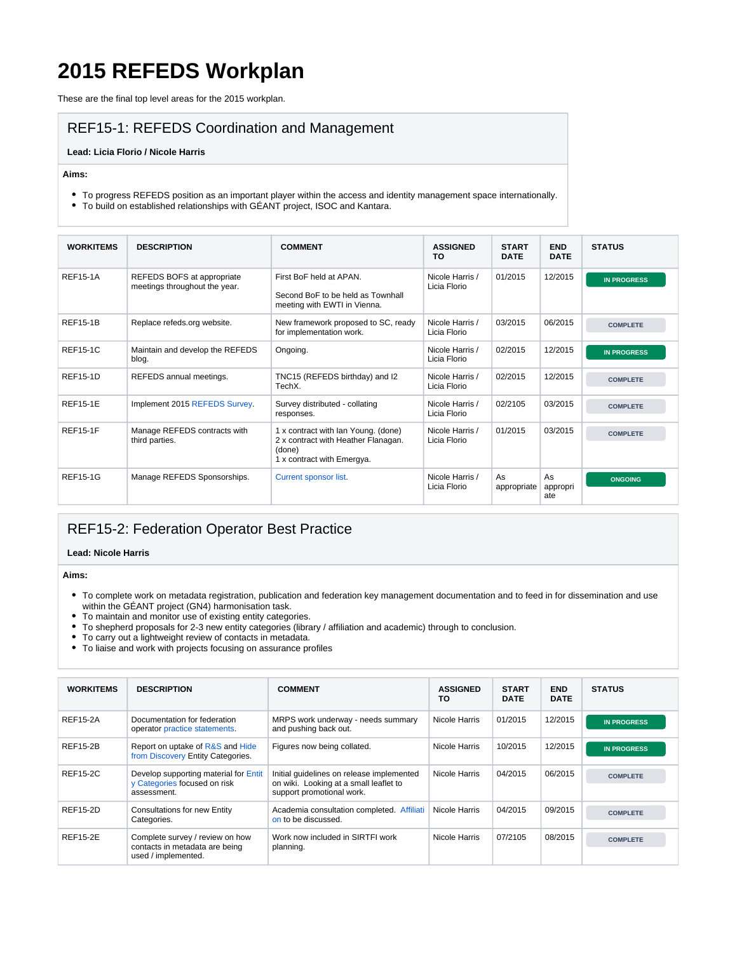# **2015 REFEDS Workplan**

These are the final top level areas for the 2015 workplan.

### REF15-1: REFEDS Coordination and Management

#### **Lead: Licia Florio / Nicole Harris**

**Aims:**

- To progress REFEDS position as an important player within the access and identity management space internationally.
- To build on established relationships with GÉANT project, ISOC and Kantara.

| <b>WORKITEMS</b> | <b>DESCRIPTION</b>                                          | <b>COMMENT</b>                                                                                                     | <b>ASSIGNED</b><br>TO           | <b>START</b><br><b>DATE</b> | <b>END</b><br><b>DATE</b> | <b>STATUS</b>      |
|------------------|-------------------------------------------------------------|--------------------------------------------------------------------------------------------------------------------|---------------------------------|-----------------------------|---------------------------|--------------------|
| <b>REF15-1A</b>  | REFEDS BOFS at appropriate<br>meetings throughout the year. | First BoF held at APAN.<br>Second BoF to be held as Townhall<br>meeting with EWTI in Vienna.                       | Nicole Harris /<br>Licia Florio | 01/2015                     | 12/2015                   | <b>IN PROGRESS</b> |
| <b>REF15-1B</b>  | Replace refeds.org website.                                 | New framework proposed to SC, ready<br>for implementation work.                                                    | Nicole Harris /<br>Licia Florio | 03/2015                     | 06/2015                   | <b>COMPLETE</b>    |
| <b>REF15-1C</b>  | Maintain and develop the REFEDS<br>blog.                    | Ongoing.                                                                                                           | Nicole Harris /<br>Licia Florio | 02/2015                     | 12/2015                   | <b>IN PROGRESS</b> |
| <b>REF15-1D</b>  | REFEDS annual meetings.                                     | TNC15 (REFEDS birthday) and I2<br>TechX.                                                                           | Nicole Harris /<br>Licia Florio | 02/2015                     | 12/2015                   | <b>COMPLETE</b>    |
| <b>REF15-1E</b>  | Implement 2015 REFEDS Survey.                               | Survey distributed - collating<br>responses.                                                                       | Nicole Harris /<br>Licia Florio | 02/2105                     | 03/2015                   | <b>COMPLETE</b>    |
| <b>REF15-1F</b>  | Manage REFEDS contracts with<br>third parties.              | 1 x contract with Ian Young. (done)<br>2 x contract with Heather Flanagan.<br>(done)<br>1 x contract with Emergya. | Nicole Harris /<br>Licia Florio | 01/2015                     | 03/2015                   | <b>COMPLETE</b>    |
| <b>REF15-1G</b>  | Manage REFEDS Sponsorships.                                 | Current sponsor list.                                                                                              | Nicole Harris /<br>Licia Florio | As<br>appropriate           | As<br>appropri<br>ate     | <b>ONGOING</b>     |

### REF15-2: Federation Operator Best Practice

#### **Lead: Nicole Harris**

**Aims:**

- To complete work on metadata registration, publication and federation key management documentation and to feed in for dissemination and use within the GÉANT project (GN4) harmonisation task.
- To maintain and monitor use of existing entity categories.
- To shepherd proposals for 2-3 new entity categories (library / affiliation and academic) through to conclusion.
- To carry out a lightweight review of contacts in metadata.
- To liaise and work with projects focusing on assurance profiles

| <b>WORKITEMS</b> | <b>DESCRIPTION</b>                                                                       | <b>COMMENT</b>                                                                                                   | <b>ASSIGNED</b><br>TO | <b>START</b><br><b>DATE</b> | <b>END</b><br><b>DATE</b> | <b>STATUS</b>      |
|------------------|------------------------------------------------------------------------------------------|------------------------------------------------------------------------------------------------------------------|-----------------------|-----------------------------|---------------------------|--------------------|
| <b>REF15-2A</b>  | Documentation for federation<br>operator practice statements.                            | MRPS work underway - needs summary<br>and pushing back out.                                                      | Nicole Harris         | 01/2015                     | 12/2015                   | <b>IN PROGRESS</b> |
| <b>REF15-2B</b>  | Report on uptake of R&S and Hide<br>from Discovery Entity Categories.                    | Figures now being collated.                                                                                      | Nicole Harris         | 10/2015                     | 12/2015                   | <b>IN PROGRESS</b> |
| <b>REF15-2C</b>  | Develop supporting material for Entit<br>y Categories focused on risk<br>assessment.     | Initial quidelines on release implemented<br>on wiki. Looking at a small leaflet to<br>support promotional work. | Nicole Harris         | 04/2015                     | 06/2015                   | <b>COMPLETE</b>    |
| <b>REF15-2D</b>  | Consultations for new Entity<br>Categories.                                              | Academia consultation completed. Affiliati<br>on to be discussed.                                                | Nicole Harris         | 04/2015                     | 09/2015                   | <b>COMPLETE</b>    |
| <b>REF15-2E</b>  | Complete survey / review on how<br>contacts in metadata are being<br>used / implemented. | Work now included in SIRTFI work<br>planning.                                                                    | Nicole Harris         | 07/2105                     | 08/2015                   | <b>COMPLETE</b>    |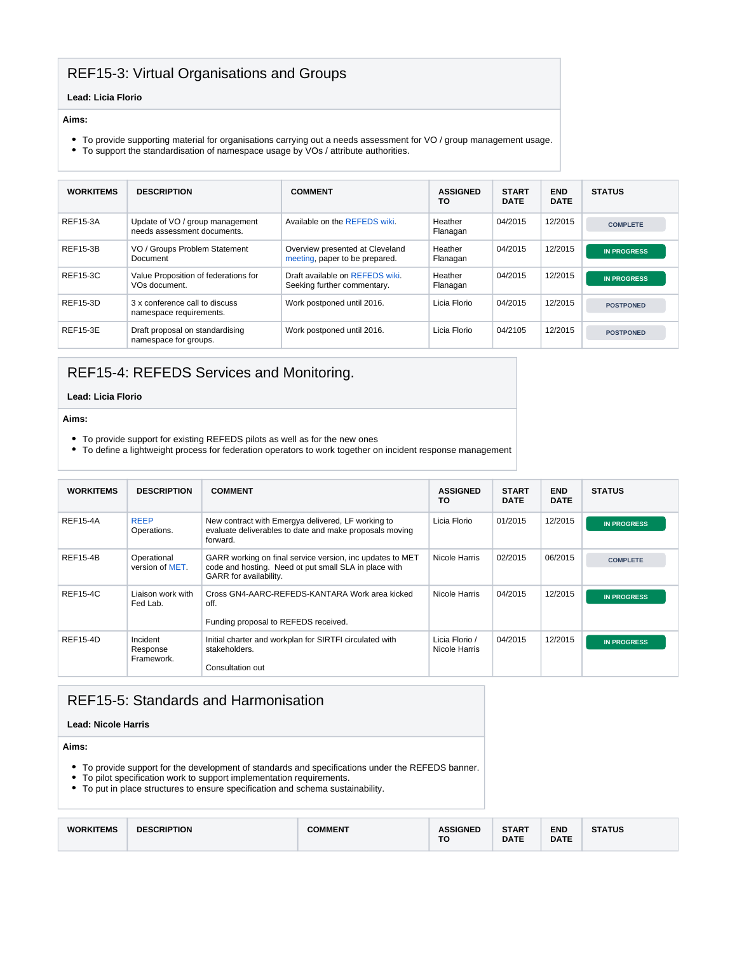### REF15-3: Virtual Organisations and Groups

#### **Lead: Licia Florio**

#### **Aims:**

- To provide supporting material for organisations carrying out a needs assessment for VO / group management usage.
- To support the standardisation of namespace usage by VOs / attribute authorities.

| <b>WORKITEMS</b> | <b>DESCRIPTION</b>                                                | <b>COMMENT</b>                                                    | <b>ASSIGNED</b><br>TO | <b>START</b><br><b>DATE</b> | <b>END</b><br><b>DATE</b> | <b>STATUS</b>      |
|------------------|-------------------------------------------------------------------|-------------------------------------------------------------------|-----------------------|-----------------------------|---------------------------|--------------------|
| <b>REF15-3A</b>  | Update of VO / group management<br>needs assessment documents.    | Available on the REFEDS wiki.                                     | Heather<br>Flanagan   | 04/2015                     | 12/2015                   | <b>COMPLETE</b>    |
| <b>REF15-3B</b>  | VO / Groups Problem Statement<br>Document                         | Overview presented at Cleveland<br>meeting, paper to be prepared. | Heather<br>Flanagan   | 04/2015                     | 12/2015                   | <b>IN PROGRESS</b> |
| <b>REF15-3C</b>  | Value Proposition of federations for<br>VO <sub>s</sub> document. | Draft available on REFEDS wiki.<br>Seeking further commentary.    | Heather<br>Flanagan   | 04/2015                     | 12/2015                   | <b>IN PROGRESS</b> |
| REF15-3D         | 3 x conference call to discuss<br>namespace requirements.         | Work postponed until 2016.                                        | Licia Florio          | 04/2015                     | 12/2015                   | <b>POSTPONED</b>   |
| <b>REF15-3E</b>  | Draft proposal on standardising<br>namespace for groups.          | Work postponed until 2016.                                        | Licia Florio          | 04/2105                     | 12/2015                   | <b>POSTPONED</b>   |

### REF15-4: REFEDS Services and Monitoring.

#### **Lead: Licia Florio**

**Aims:**

- To provide support for existing REFEDS pilots as well as for the new ones
- To define a lightweight process for federation operators to work together on incident response management

| <b>WORKITEMS</b> | <b>DESCRIPTION</b>                 | <b>COMMENT</b>                                                                                                                               | <b>ASSIGNED</b><br>ΤО           | <b>START</b><br><b>DATE</b> | <b>END</b><br><b>DATE</b> | <b>STATUS</b>      |
|------------------|------------------------------------|----------------------------------------------------------------------------------------------------------------------------------------------|---------------------------------|-----------------------------|---------------------------|--------------------|
| <b>REF15-4A</b>  | <b>REEP</b><br>Operations.         | New contract with Emergya delivered, LF working to<br>evaluate deliverables to date and make proposals moving<br>forward.                    | Licia Florio                    | 01/2015                     | 12/2015                   | <b>IN PROGRESS</b> |
| <b>REF15-4B</b>  | Operational<br>version of MET.     | GARR working on final service version, inc updates to MET<br>code and hosting. Need ot put small SLA in place with<br>GARR for availability. | Nicole Harris                   | 02/2015                     | 06/2015                   | <b>COMPLETE</b>    |
| <b>REF15-4C</b>  | Liaison work with<br>Fed Lab.      | Cross GN4-AARC-REFEDS-KANTARA Work area kicked<br>off.<br>Funding proposal to REFEDS received.                                               | Nicole Harris                   | 04/2015                     | 12/2015                   | <b>IN PROGRESS</b> |
| <b>REF15-4D</b>  | Incident<br>Response<br>Framework. | Initial charter and workplan for SIRTFI circulated with<br>stakeholders.<br>Consultation out                                                 | Licia Florio /<br>Nicole Harris | 04/2015                     | 12/2015                   | <b>IN PROGRESS</b> |

### REF15-5: Standards and Harmonisation

#### **Lead: Nicole Harris**

**Aims:**

- To provide support for the development of standards and specifications under the REFEDS banner.
- To pilot specification work to support implementation requirements.
- To put in place structures to ensure specification and schema sustainability.

| <b>WORKITEMS</b><br><b>DESCRIPTION</b><br><b>COMMENT</b> | <b><i><u>\SSIGNED</u></i></b><br>TO | <b>START</b><br><b>DATE</b> | END<br><b>DATE</b> | <b>ATUS</b><br>. . |
|----------------------------------------------------------|-------------------------------------|-----------------------------|--------------------|--------------------|
|----------------------------------------------------------|-------------------------------------|-----------------------------|--------------------|--------------------|